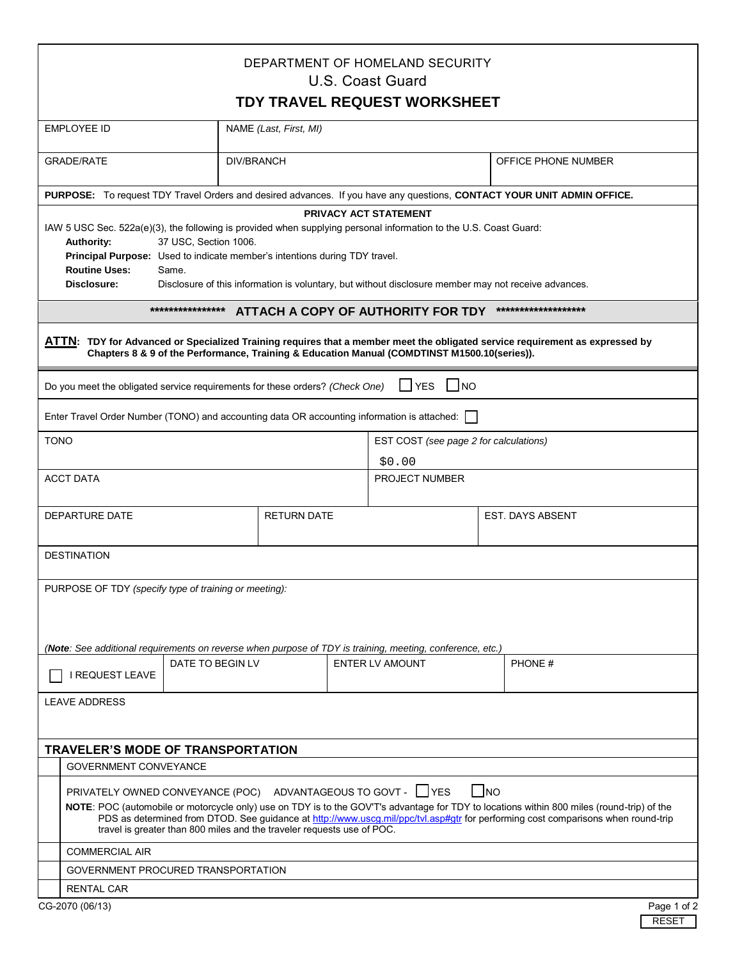| DEPARTMENT OF HOMELAND SECURITY<br>U.S. Coast Guard                                                                                                                                                                                                                                                                                                                                                                            |  |                        |  |                                                                                                                                  |                     |             |  |  |  |  |
|--------------------------------------------------------------------------------------------------------------------------------------------------------------------------------------------------------------------------------------------------------------------------------------------------------------------------------------------------------------------------------------------------------------------------------|--|------------------------|--|----------------------------------------------------------------------------------------------------------------------------------|---------------------|-------------|--|--|--|--|
| TDY TRAVEL REQUEST WORKSHEET                                                                                                                                                                                                                                                                                                                                                                                                   |  |                        |  |                                                                                                                                  |                     |             |  |  |  |  |
| <b>EMPLOYEE ID</b>                                                                                                                                                                                                                                                                                                                                                                                                             |  | NAME (Last, First, MI) |  |                                                                                                                                  |                     |             |  |  |  |  |
| <b>GRADE/RATE</b>                                                                                                                                                                                                                                                                                                                                                                                                              |  | <b>DIV/BRANCH</b>      |  |                                                                                                                                  | OFFICE PHONE NUMBER |             |  |  |  |  |
| PURPOSE: To request TDY Travel Orders and desired advances. If you have any questions, CONTACT YOUR UNIT ADMIN OFFICE.                                                                                                                                                                                                                                                                                                         |  |                        |  |                                                                                                                                  |                     |             |  |  |  |  |
| PRIVACY ACT STATEMENT<br>IAW 5 USC Sec. 522a(e)(3), the following is provided when supplying personal information to the U.S. Coast Guard:<br>37 USC, Section 1006.<br><b>Authority:</b><br>Principal Purpose: Used to indicate member's intentions during TDY travel.<br><b>Routine Uses:</b><br>Same.<br>Disclosure:<br>Disclosure of this information is voluntary, but without disclosure member may not receive advances. |  |                        |  |                                                                                                                                  |                     |             |  |  |  |  |
| ****************<br>*******************<br>ATTACH A COPY OF AUTHORITY FOR TDY                                                                                                                                                                                                                                                                                                                                                  |  |                        |  |                                                                                                                                  |                     |             |  |  |  |  |
| ATTN: TDY for Advanced or Specialized Training requires that a member meet the obligated service requirement as expressed by<br>Chapters 8 & 9 of the Performance, Training & Education Manual (COMDTINST M1500.10(series)).                                                                                                                                                                                                   |  |                        |  |                                                                                                                                  |                     |             |  |  |  |  |
| I YES<br>$\blacksquare$ NO<br>Do you meet the obligated service requirements for these orders? (Check One)                                                                                                                                                                                                                                                                                                                     |  |                        |  |                                                                                                                                  |                     |             |  |  |  |  |
| Enter Travel Order Number (TONO) and accounting data OR accounting information is attached:                                                                                                                                                                                                                                                                                                                                    |  |                        |  |                                                                                                                                  |                     |             |  |  |  |  |
| <b>TONO</b>                                                                                                                                                                                                                                                                                                                                                                                                                    |  |                        |  | EST COST (see page 2 for calculations)<br>\$0.00                                                                                 |                     |             |  |  |  |  |
| <b>ACCT DATA</b>                                                                                                                                                                                                                                                                                                                                                                                                               |  | PROJECT NUMBER         |  |                                                                                                                                  |                     |             |  |  |  |  |
| DEPARTURE DATE                                                                                                                                                                                                                                                                                                                                                                                                                 |  | <b>RETURN DATE</b>     |  |                                                                                                                                  | EST. DAYS ABSENT    |             |  |  |  |  |
| <b>DESTINATION</b>                                                                                                                                                                                                                                                                                                                                                                                                             |  |                        |  |                                                                                                                                  |                     |             |  |  |  |  |
| PURPOSE OF TDY (specify type of training or meeting):                                                                                                                                                                                                                                                                                                                                                                          |  |                        |  |                                                                                                                                  |                     |             |  |  |  |  |
| (Note: See additional requirements on reverse when purpose of TDY is training, meeting, conference, etc.)<br>DATE TO BEGIN LV<br>I REQUEST LEAVE                                                                                                                                                                                                                                                                               |  |                        |  | <b>ENTER LV AMOUNT</b>                                                                                                           | PHONE#              |             |  |  |  |  |
| <b>LEAVE ADDRESS</b>                                                                                                                                                                                                                                                                                                                                                                                                           |  |                        |  |                                                                                                                                  |                     |             |  |  |  |  |
| <b>TRAVELER'S MODE OF TRANSPORTATION</b>                                                                                                                                                                                                                                                                                                                                                                                       |  |                        |  |                                                                                                                                  |                     |             |  |  |  |  |
| <b>GOVERNMENT CONVEYANCE</b>                                                                                                                                                                                                                                                                                                                                                                                                   |  |                        |  |                                                                                                                                  |                     |             |  |  |  |  |
| PRIVATELY OWNED CONVEYANCE (POC) ADVANTAGEOUS TO GOVT - □ YES<br>NOTE: POC (automobile or motorcycle only) use on TDY is to the GOV'T's advantage for TDY to locations within 800 miles (round-trip) of the<br>travel is greater than 800 miles and the traveler requests use of POC.                                                                                                                                          |  |                        |  | PDS as determined from DTOD. See guidance at http://www.uscg.mil/ppc/tvl.asp#gtr for performing cost comparisons when round-trip | I INO               |             |  |  |  |  |
| <b>COMMERCIAL AIR</b>                                                                                                                                                                                                                                                                                                                                                                                                          |  |                        |  |                                                                                                                                  |                     |             |  |  |  |  |
| GOVERNMENT PROCURED TRANSPORTATION                                                                                                                                                                                                                                                                                                                                                                                             |  |                        |  |                                                                                                                                  |                     |             |  |  |  |  |
| <b>RENTAL CAR</b>                                                                                                                                                                                                                                                                                                                                                                                                              |  |                        |  |                                                                                                                                  |                     |             |  |  |  |  |
| CG-2070 (06/13)                                                                                                                                                                                                                                                                                                                                                                                                                |  |                        |  |                                                                                                                                  |                     | Page 1 of 2 |  |  |  |  |